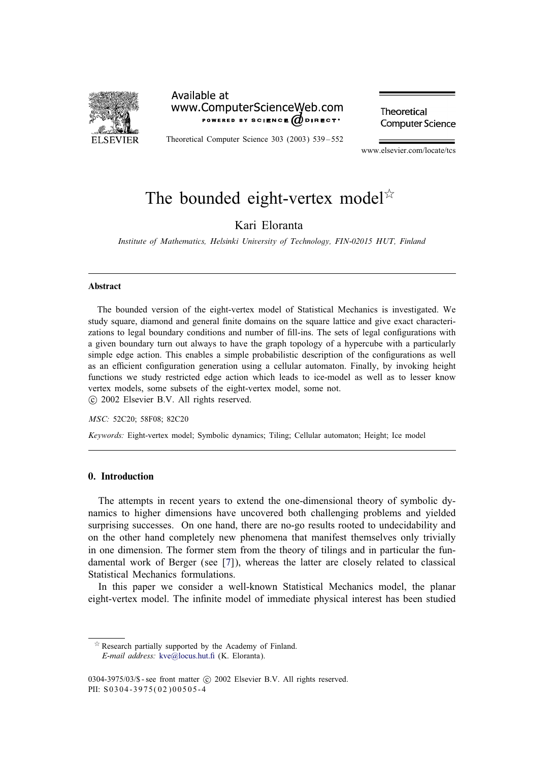

# Available at www.ComputerScienceWeb.com POWERED BY SCIENCE  $\omega$  direct.

Theoretical Computer Science 303 (2003) 539 – 552

Theoretical **Computer Science** 

www.elsevier.com/locate/tcs

# The bounded eight-vertex model<sup> $\chi$ </sup>

# Kari Eloranta

*Institute of Mathematics, Helsinki University of Technology, FIN-02015 HUT, Finland*

#### Abstract

The bounded version of the eight-vertex model of Statistical Mechanics is investigated. We study square, diamond and general finite domains on the square lattice and give exact characterizations to legal boundary conditions and number of fill-ins. The sets of legal configurations with a given boundary turn out always to have the graph topology of a hypercube with a particularly simple edge action. This enables a simple probabilistic description of the configurations as well as an efficient configuration generation using a cellular automaton. Finally, by invoking height functions we study restricted edge action which leads to ice-model as well as to lesser know vertex models, some subsets of the eight-vertex model, some not. c 2002 Elsevier B.V. All rights reserved.

*MSC:* 52C20; 58F08; 82C20

*Keywords:* Eight-vertex model; Symbolic dynamics; Tiling; Cellular automaton; Height; Ice model

## 0. Introduction

The attempts in recent years to extend the one-dimensional theory of symbolic dynamics to higher dimensions have uncovered both challenging problems and yielded surprising successes. On one hand, there are no-go results rooted to undecidability and on the other hand completely new phenomena that manifest themselves only trivially in one dimension. The former stem from the theory of tilings and in particular the fundamental work of Berger (see [\[7\]](#page-13-0)), whereas the latter are closely related to classical Statistical Mechanics formulations.

In this paper we consider a well-known Statistical Mechanics model, the planar eight-vertex model. The infinite model of immediate physical interest has been studied

 $\overrightarrow{r}$  Research partially supported by the Academy of Finland. *E-mail address:* kve@locus.hut.fi (K. Eloranta).

<sup>0304-3975/03/\$ -</sup> see front matter © 2002 Elsevier B.V. All rights reserved. PII: S0304-3975(02)00505-4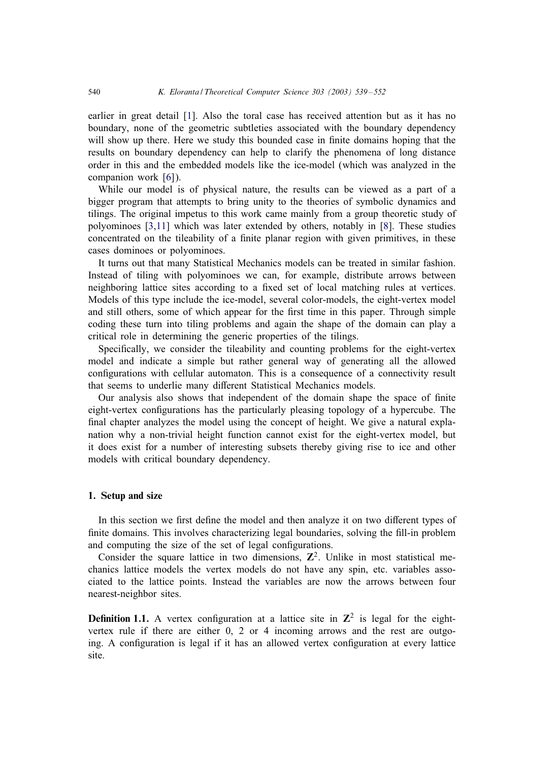<span id="page-1-0"></span>earlier in great detail [\[1\]](#page-13-0). Also the toral case has received attention but as it has no boundary, none of the geometric subtleties associated with the boundary dependency will show up there. Here we study this bounded case in finite domains hoping that the results on boundary dependency can help to clarify the phenomena of long distance order in this and the embedded models like the ice-model (which was analyzed in the companion work [\[6\]](#page-13-0)).

While our model is of physical nature, the results can be viewed as a part of a bigger program that attempts to bring unity to the theories of symbolic dynamics and tilings. The original impetus to this work came mainly from a group theoretic study of polyominoes [\[3,11\]](#page-13-0) which was later extended by others, notably in [\[8\]](#page-13-0). These studies concentrated on the tileability of a finite planar region with given primitives, in these cases dominoes or polyominoes.

It turns out that many Statistical Mechanics models can be treated in similar fashion. Instead of tiling with polyominoes we can, for example, distribute arrows between neighboring lattice sites according to a fixed set of local matching rules at vertices. Models of this type include the ice-model, several color-models, the eight-vertex model and still others, some of which appear for the first time in this paper. Through simple coding these turn into tiling problems and again the shape of the domain can play a critical role in determining the generic properties of the tilings.

Specifically, we consider the tileability and counting problems for the eight-vertex model and indicate a simple but rather general way of generating all the allowed configurations with cellular automaton. This is a consequence of a connectivity result that seems to underlie many different Statistical Mechanics models.

Our analysis also shows that independent of the domain shape the space of finite eight-vertex configurations has the particularly pleasing topology of a hypercube. The final chapter analyzes the model using the concept of height. We give a natural explanation why a non-trivial height function cannot exist for the eight-vertex model, but it does exist for a number of interesting subsets thereby giving rise to ice and other models with critical boundary dependency.

## 1. Setup and size

In this section we first define the model and then analyze it on two different types of finite domains. This involves characterizing legal boundaries, solving the fill-in problem and computing the size of the set of legal configurations.

Consider the square lattice in two dimensions,  $\mathbb{Z}^2$ . Unlike in most statistical mechanics lattice models the vertex models do not have any spin, etc. variables associated to the lattice points. Instead the variables are now the arrows between four nearest-neighbor sites.

**Definition 1.1.** A vertex configuration at a lattice site in  $\mathbb{Z}^2$  is legal for the eightvertex rule if there are either  $0, 2$  or 4 incoming arrows and the rest are outgoing. A configuration is legal if it has an allowed vertex configuration at every lattice site.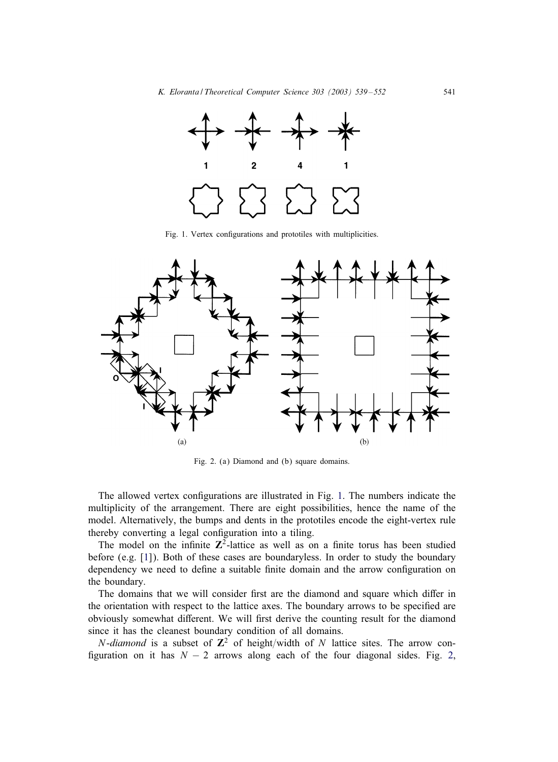<span id="page-2-0"></span>

Fig. 1. Vertex configurations and prototiles with multiplicities.



Fig. 2. (a) Diamond and (b) square domains.

The allowed vertex configurations are illustrated in Fig. 1. The numbers indicate the multiplicity of the arrangement. There are eight possibilities, hence the name of the model. Alternatively, the bumps and dents in the prototiles encode the eight-vertex rule thereby converting a legal configuration into a tiling.

The model on the infinite  $\mathbb{Z}^2$ -lattice as well as on a finite torus has been studied before (e.g. [\[1\]](#page-13-0)). Both of these cases are boundaryless. In order to study the boundary dependency we need to define a suitable finite domain and the arrow configuration on the boundary.

The domains that we will consider first are the diamond and square which differ in the orientation with respect to the lattice axes. The boundary arrows to be specified are obviously somewhat different. We will first derive the counting result for the diamond since it has the cleanest boundary condition of all domains.

*N*-diamond is a subset of  $\mathbb{Z}^2$  of height/width of N lattice sites. The arrow configuration on it has  $N - 2$  arrows along each of the four diagonal sides. Fig. 2,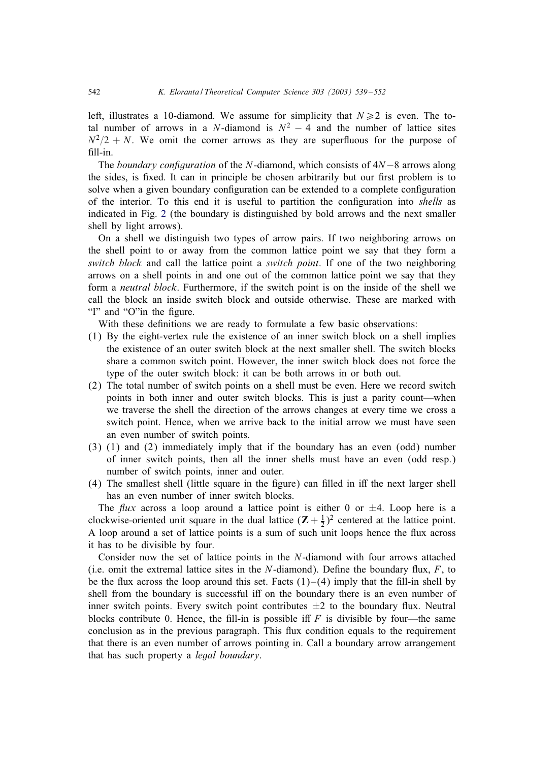left, illustrates a 10-diamond. We assume for simplicity that  $N \ge 2$  is even. The total number of arrows in a N-diamond is  $N^2 - 4$  and the number of lattice sites  $N^2/2 + N$ . We omit the corner arrows as they are superfluous for the purpose of fill-in.

The *boundary configuration* of the N-diamond, which consists of 4N−8 arrows along the sides, is fixed. It can in principle be chosen arbitrarily but our first problem is to solve when a given boundary configuration can be extended to a complete configuration of the interior. To this end it is useful to partition the con+guration into *shells* as indicated in Fig. [2](#page-2-0) (the boundary is distinguished by bold arrows and the next smaller shell by light arrows).

On a shell we distinguish two types of arrow pairs. If two neighboring arrows on the shell point to or away from the common lattice point we say that they form a *switch block* and call the lattice point a *switch point*. If one of the two neighboring arrows on a shell points in and one out of the common lattice point we say that they form a *neutral block*. Furthermore, if the switch point is on the inside of the shell we call the block an inside switch block and outside otherwise. These are marked with "I" and "O" in the figure.

With these definitions we are ready to formulate a few basic observations:

- (1) By the eight-vertex rule the existence of an inner switch block on a shell implies the existence of an outer switch block at the next smaller shell. The switch blocks share a common switch point. However, the inner switch block does not force the type of the outer switch block: it can be both arrows in or both out.
- (2) The total number of switch points on a shell must be even. Here we record switch points in both inner and outer switch blocks. This is just a parity count—when we traverse the shell the direction of the arrows changes at every time we cross a switch point. Hence, when we arrive back to the initial arrow we must have seen an even number of switch points.
- (3) (1) and (2) immediately imply that if the boundary has an even (odd) number of inner switch points, then all the inner shells must have an even (odd resp.) number of switch points, inner and outer.
- (4) The smallest shell (little square in the figure) can filled in iff the next larger shell has an even number of inner switch blocks.

The *flux* across a loop around a lattice point is either 0 or  $\pm 4$ . Loop here is a clockwise-oriented unit square in the dual lattice  $(Z + \frac{1}{2})^2$  centered at the lattice point. A loop around a set of lattice points is a sum of such unit loops hence the Gux across it has to be divisible by four.

Consider now the set of lattice points in the N-diamond with four arrows attached (i.e. omit the extremal lattice sites in the  $N$ -diamond). Define the boundary flux,  $F$ , to be the flux across the loop around this set. Facts  $(1)$  – $(4)$  imply that the fill-in shell by shell from the boundary is successful iff on the boundary there is an even number of inner switch points. Every switch point contributes  $\pm 2$  to the boundary flux. Neutral blocks contribute 0. Hence, the fill-in is possible iff  $F$  is divisible by four—the same conclusion as in the previous paragraph. This Gux condition equals to the requirement that there is an even number of arrows pointingin. Call a boundary arrow arrangement that has such property a *legal boundary*.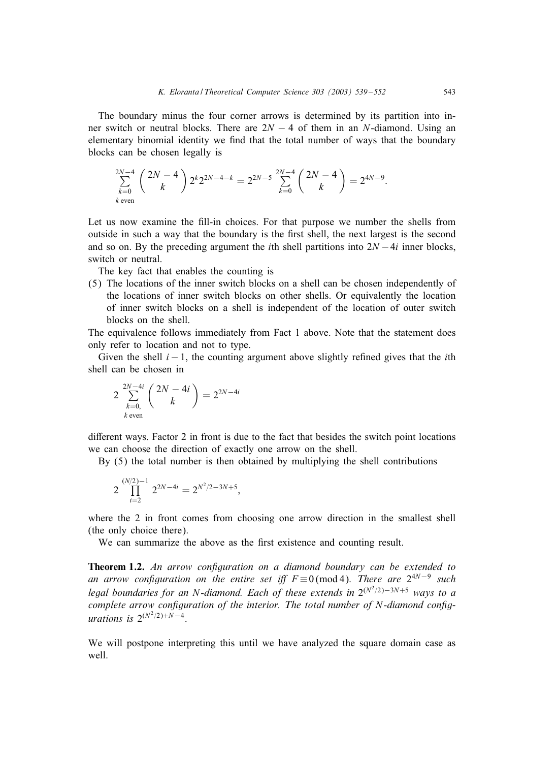<span id="page-4-0"></span>The boundary minus the four corner arrows is determined by its partition into inner switch or neutral blocks. There are  $2N - 4$  of them in an N-diamond. Using an elementary binomial identity we find that the total number of ways that the boundary blocks can be chosen legally is

$$
\sum_{k=0}^{2N-4} {2N-4 \choose k} 2^{k} 2^{2N-4-k} = 2^{2N-5} \sum_{k=0}^{2N-4} {2N-4 \choose k} = 2^{4N-9}.
$$
  
\n*k* even

Let us now examine the fill-in choices. For that purpose we number the shells from outside in such a way that the boundary is the first shell, the next largest is the second and so on. By the preceding argument the *i*th shell partitions into  $2N - 4i$  inner blocks, switch or neutral.

The key fact that enables the counting is

(5) The locations of the inner switch blocks on a shell can be chosen independently of the locations of inner switch blocks on other shells. Or equivalently the location of inner switch blocks on a shell is independent of the location of outer switch blocks on the shell.

The equivalence follows immediately from Fact 1 above. Note that the statement does only refer to location and not to type.

Given the shell  $i - 1$ , the counting argument above slightly refined gives that the *i*th shell can be chosen in

$$
2\sum_{\substack{k=0,\ k \text{ even}}}^{2N-4i} {2N-4i \choose k} = 2^{2N-4i}
$$

different ways. Factor 2 in front is due to the fact that besides the switch point locations we can choose the direction of exactly one arrow on the shell.

By  $(5)$  the total number is then obtained by multiplying the shell contributions

$$
2\prod_{i=2}^{(N/2)-1} 2^{2N-4i} = 2^{N^2/2-3N+5},
$$

where the 2 in front comes from choosing one arrow direction in the smallest shell (the only choice there).

We can summarize the above as the first existence and counting result.

Theorem 1.2. An arrow configuration on a diamond boundary can be extended to *an arrow configuration on the entire set iff*  $F \equiv 0 \pmod{4}$ . *There are*  $2^{4N-9}$  *such legal boundaries for an N-diamond. Each of these extends in* 2<sup>(N<sup>2</sup>/2)−3N+5 *ways to a*</sup> *complete arrow configuration of the interior. The total number of N-diamond config* $u$ rations is  $2^{(N^2/2)+N-4}$ .

We will postpone interpreting this until we have analyzed the square domain case as well.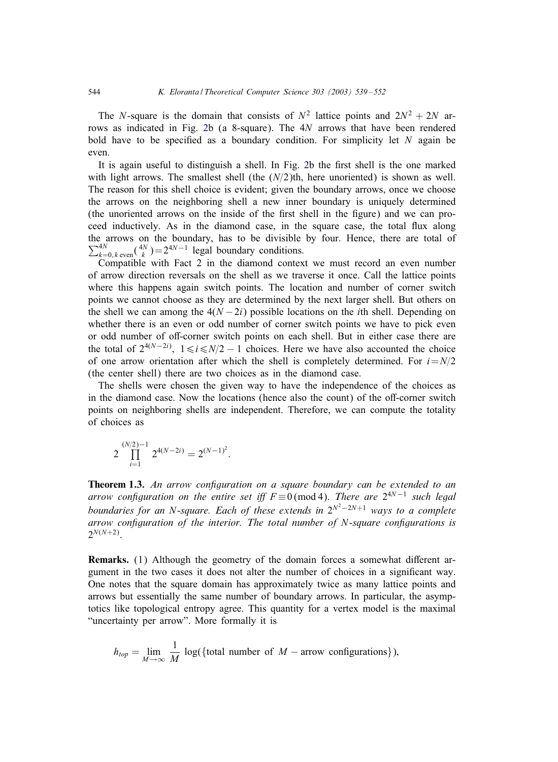<span id="page-5-0"></span>The N-square is the domain that consists of  $N^2$  lattice points and  $2N^2 + 2N$  arrows as indicated in Fig. [2b](#page-2-0) (a 8-square). The 4N arrows that have been rendered bold have to be specified as a boundary condition. For simplicity let  $N$  again be even.

It is again useful to distinguish a shell. In Fig. [2b](#page-2-0) the first shell is the one marked with light arrows. The smallest shell (the  $(N/2)$ th, here unoriented) is shown as well. The reason for this shell choice is evident; given the boundary arrows, once we choose the arrows on the neighboring shell a new inner boundary is uniquely determined (the unoriented arrows on the inside of the first shell in the figure) and we can proceed inductively. As in the diamond case, in the square case, the total flux along the arrows on the boundary, has to be divisible by four. Hence, there are total of  $\sum_{k=0, k \text{ even}}^{4N}$  ( $\binom{4N}{k}$ ) = 2<sup>4N-1</sup> legal boundary conditions.

Compatible with Fact 2 in the diamond context we must record an even number of arrow direction reversals on the shell as we traverse it once. Call the lattice points where this happens again switch points. The location and number of corner switch points we cannot choose as they are determined by the next larger shell. But others on the shell we can among the  $4(N-2i)$  possible locations on the *i*th shell. Depending on whether there is an even or odd number of corner switch points we have to pick even or odd number of off-corner switch points on each shell. But in either case there are the total of  $2^{4(N-2i)}$ ,  $1 \le i \le N/2 - 1$  choices. Here we have also accounted the choice of one arrow orientation after which the shell is completely determined. For  $i=N/2$ (the center shell) there are two choices as in the diamond case.

The shells were chosen the given way to have the independence of the choices as in the diamond case. Now the locations (hence also the count) of the off-corner switch points on neighboring shells are independent. Therefore, we can compute the totality of choices as

$$
2\prod_{i=1}^{(N/2)-1} 2^{4(N-2i)} = 2^{(N-1)^2}.
$$

Theorem 1.3. An arrow configuration on a square boundary can be extended to an *arrow configuration on the entire set iff*  $F \equiv 0 \pmod{4}$ . *There are*  $2^{4N-1}$  *such legal boundaries for an N-square. Each of these extends in*  $2^{N^2-2N+1}$  ways to a complete *arrow configuration of the interior. The total number of N-square configurations is*  $2^{N(N+2)}$ .

Remarks. (1) Although the geometry of the domain forces a somewhat different argument in the two cases it does not alter the number of choices in a significant way. One notes that the square domain has approximately twice as many lattice points and arrows but essentially the same number of boundary arrows. In particular, the asymptotics like topological entropy agree. This quantity for a vertex model is the maximal "uncertainty per arrow". More formally it is

$$
h_{top} = \lim_{M \to \infty} \frac{1}{M} \log(\{\text{total number of } M - \text{arrow configurations}\}),
$$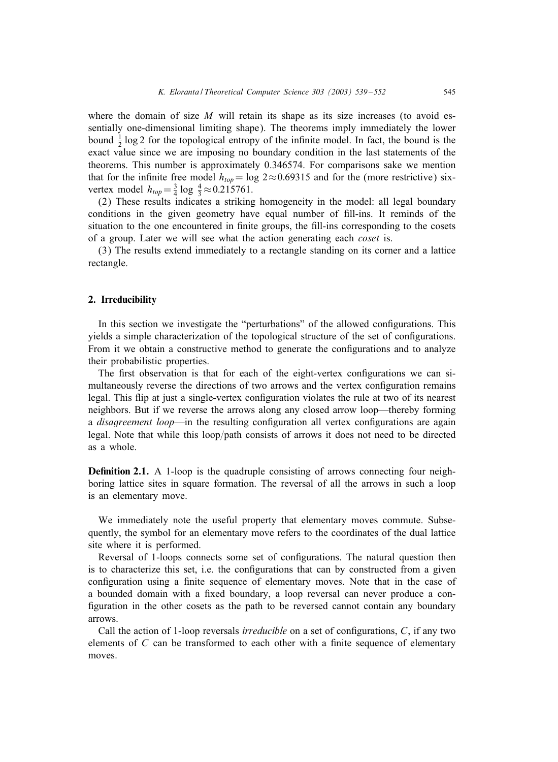<span id="page-6-0"></span>where the domain of size  $M$  will retain its shape as its size increases (to avoid essentially one-dimensional limiting shape). The theorems imply immediately the lower bound  $\frac{1}{2}$  log 2 for the topological entropy of the infinite model. In fact, the bound is the exact value since we are imposing no boundary condition in the last statements of the theorems. This number is approximately 0.346574. For comparisons sake we mention that for the infinite free model  $h_{top} = \log 2 \approx 0.69315$  and for the (more restrictive) sixvertex model  $h_{top} = \frac{3}{4} \log \frac{4}{3} \approx 0.215761$ .

(2) These results indicates a striking homogeneity in the model: all legal boundary conditions in the given geometry have equal number of fill-ins. It reminds of the situation to the one encountered in finite groups, the fill-ins corresponding to the cosets of a group. Later we will see what the action generating each *coset* is.

(3) The results extend immediately to a rectangle standing on its corner and a lattice rectangle.

#### 2. Irreducibility

In this section we investigate the "perturbations" of the allowed configurations. This yields a simple characterization of the topological structure of the set of configurations. From it we obtain a constructive method to generate the configurations and to analyze their probabilistic properties.

The first observation is that for each of the eight-vertex configurations we can simultaneously reverse the directions of two arrows and the vertex configuration remains legal. This flip at just a single-vertex configuration violates the rule at two of its nearest neighbors. But if we reverse the arrows along any closed arrow loop—thereby forming a *disagreement loop*—in the resulting configuration all vertex configurations are again legal. Note that while this loop/path consists of arrows it does not need to be directed as a whole.

**Definition 2.1.** A 1-loop is the quadruple consisting of arrows connecting four neighboring lattice sites in square formation. The reversal of all the arrows in such a loop is an elementary move.

We immediately note the useful property that elementary moves commute. Subsequently, the symbol for an elementary move refers to the coordinates of the dual lattice site where it is performed.

Reversal of 1-loops connects some set of configurations. The natural question then is to characterize this set, i.e. the configurations that can by constructed from a given configuration using a finite sequence of elementary moves. Note that in the case of a bounded domain with a fixed boundary, a loop reversal can never produce a configuration in the other cosets as the path to be reversed cannot contain any boundary arrows.

Call the action of 1-loop reversals *irreducible* on a set of configurations, C, if any two elements of  $C$  can be transformed to each other with a finite sequence of elementary moves.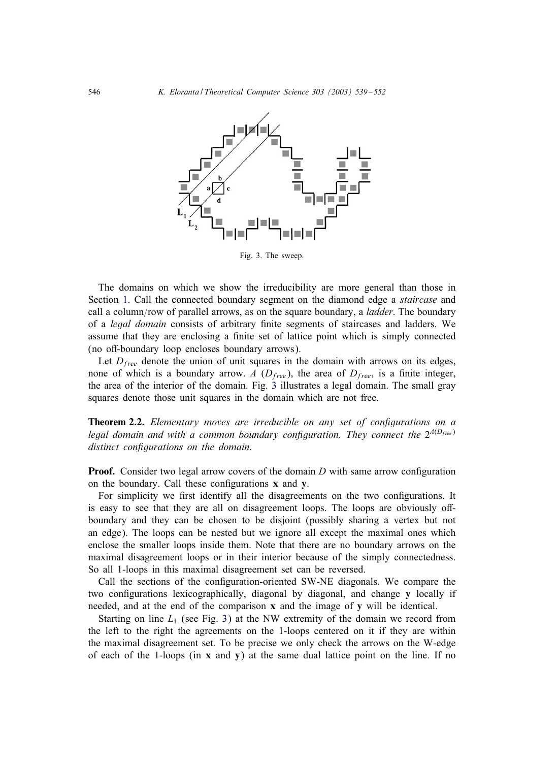<span id="page-7-0"></span>

Fig. 3. The sweep.

The domains on which we show the irreducibility are more general than those in Section [1.](#page-1-0) Call the connected boundary segment on the diamond edge a *staircase* and call a column/row of parallel arrows, as on the square boundary, a *ladder*. The boundary of a *legal domain* consists of arbitrary finite segments of staircases and ladders. We assume that they are enclosing a finite set of lattice point which is simply connected (no off-boundary loop encloses boundary arrows).

Let  $D_{free}$  denote the union of unit squares in the domain with arrows on its edges, none of which is a boundary arrow. A  $(D_{free})$ , the area of  $D_{free}$ , is a finite integer, the area of the interior of the domain. Fig. 3 illustrates a legal domain. The small gray squares denote those unit squares in the domain which are not free.

**Theorem 2.2.** *Elementary moves are irreducible on any set of configurations on a legal domain and with a common boundary configuration. They connect the*  $2^{A(D_{free})}$ *distinct configurations on the domain.* 

**Proof.** Consider two legal arrow covers of the domain  $D$  with same arrow configuration on the boundary. Call these configurations  $x$  and  $y$ .

For simplicity we first identify all the disagreements on the two configurations. It is easy to see that they are all on disagreement loops. The loops are obviously offboundary and they can be chosen to be disjoint (possibly sharinga vertex but not an edge). The loops can be nested but we ignore all except the maximal ones which enclose the smaller loops inside them. Note that there are no boundary arrows on the maximal disagreement loops or in their interior because of the simply connectedness. So all 1-loops in this maximal disagreement set can be reversed.

Call the sections of the configuration-oriented SW-NE diagonals. We compare the two configurations lexicographically, diagonal by diagonal, and change  $\bf{v}$  locally if needed, and at the end of the comparison  $x$  and the image of  $y$  will be identical.

Starting on line  $L_1$  (see Fig. 3) at the NW extremity of the domain we record from the left to the right the agreements on the 1-loops centered on it if they are within the maximal disagreement set. To be precise we only check the arrows on the W-edge of each of the 1-loops (in  $x$  and  $y$ ) at the same dual lattice point on the line. If no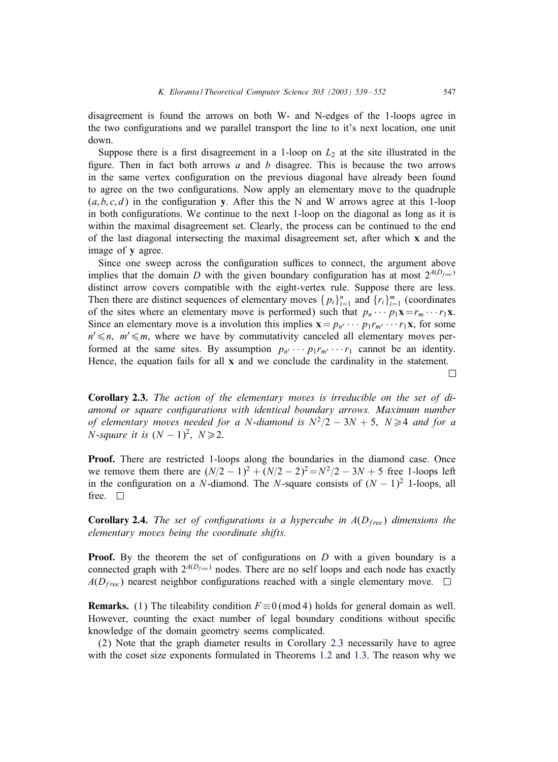disagreement is found the arrows on both W- and N-edges of the 1-loops agree in the two configurations and we parallel transport the line to it's next location, one unit down.

Suppose there is a first disagreement in a 1-loop on  $L<sub>2</sub>$  at the site illustrated in the figure. Then in fact both arrows a and b disagree. This is because the two arrows in the same vertex configuration on the previous diagonal have already been found to agree on the two configurations. Now apply an elementary move to the quadruple  $(a, b, c, d)$  in the configuration y. After this the N and W arrows agree at this 1-loop in both configurations. We continue to the next 1-loop on the diagonal as long as it is within the maximal disagreement set. Clearly, the process can be continued to the end of the last diagonal intersecting the maximal disagreement set, after which x and the image of y agree.

Since one sweep across the configuration suffices to connect, the argument above implies that the domain D with the given boundary configuration has at most  $2^{A(D_{free})}$ distinct arrow covers compatible with the eight-vertex rule. Suppose there are less. Then there are distinct sequences of elementary moves  $\{p_i\}_{i=1}^n$  and  $\{r_i\}_{i=1}^m$  (coordinates of the sites where an elementary move is performed) such that  $p_n \cdots p_1 \mathbf{x} = r_m \cdots r_1 \mathbf{x}$ . Since an elementary move is a involution this implies  $\mathbf{x} = p_{n'} \cdots p_1 r_{m'} \cdots r_1 \mathbf{x}$ , for some  $n' \leq n$ ,  $m' \leq m$ , where we have by commutativity canceled all elementary moves performed at the same sites. By assumption  $p_{n'} \cdots p_1 r_{m'} \cdots r_1$  cannot be an identity. Hence, the equation fails for all  $x$  and we conclude the cardinality in the statement.

Corollary 2.3. The action of the elementary moves is irreducible on the set of di*amond or square configurations with identical boundary arrows. Maximum number of elementary moves needed for a N-diamond is*  $N^2/2 - 3N + 5$ ,  $N \ge 4$  *and for a N*-*square it is*  $(N - 1)^2$ ,  $N \ge 2$ .

Proof. There are restricted 1-loops along the boundaries in the diamond case. Once we remove them there are  $(N/2 - 1)^2 + (N/2 - 2)^2 = N^2/2 - 3N + 5$  free 1-loops left in the configuration on a N-diamond. The N-square consists of  $(N - 1)^2$  1-loops, all free.  $\square$ 

**Corollary 2.4.** *The set of configurations is a hypercube in*  $A(D_{free})$  *dimensions the elementary moves being the coordinate shifts*.

**Proof.** By the theorem the set of configurations on  $D$  with a given boundary is a connected graph with  $2^{A(D_{free})}$  nodes. There are no self loops and each node has exactly  $A(D_{free})$  nearest neighbor configurations reached with a single elementary move.  $\square$ 

**Remarks.** (1) The tileability condition  $F \equiv 0 \pmod{4}$  holds for general domain as well. However, counting the exact number of legal boundary conditions without specific knowledge of the domain geometry seems complicated.

(2) Note that the graph diameter results in Corollary 2.3 necessarily have to agree with the coset size exponents formulated in Theorems [1.2](#page-4-0) and [1.3.](#page-5-0) The reason why we

 $\Box$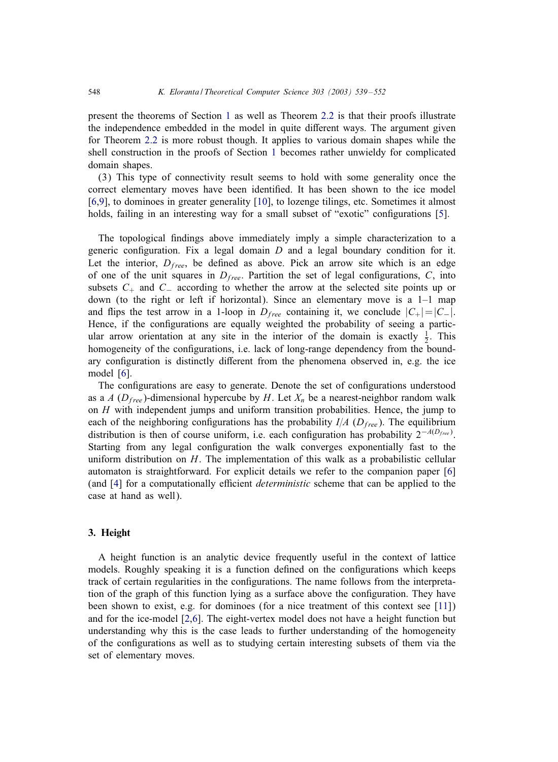present the theorems of Section [1](#page-1-0) as well as Theorem [2.2](#page-7-0) is that their proofs illustrate the independence embedded in the model in quite different ways. The argument given for Theorem [2.2](#page-7-0) is more robust though. It applies to various domain shapes while the shell construction in the proofs of Section [1](#page-1-0) becomes rather unwieldy for complicated domain shapes.

(3) This type of connectivity result seems to hold with some generality once the correct elementary moves have been identified. It has been shown to the ice model [\[6,9\]](#page-13-0), to dominoes in greater generality [\[10\]](#page-13-0), to lozenge tilings, etc. Sometimes it almost holds, failing in an interesting way for a small subset of "exotic" configurations [\[5\]](#page-13-0).

The topological findings above immediately imply a simple characterization to a generic configuration. Fix a legal domain  $D$  and a legal boundary condition for it. Let the interior,  $D_{free}$ , be defined as above. Pick an arrow site which is an edge of one of the unit squares in  $D_{free}$ . Partition the set of legal configurations, C, into subsets  $C_+$  and  $C_-$  according to whether the arrow at the selected site points up or down (to the right or left if horizontal). Since an elementary move is a 1–1 map and flips the test arrow in a 1-loop in  $D_{free}$  containing it, we conclude  $|C_+| = |C_-|$ . Hence, if the configurations are equally weighted the probability of seeing a particular arrow orientation at any site in the interior of the domain is exactly  $\frac{1}{2}$ . This homogeneity of the configurations, i.e. lack of long-range dependency from the boundary configuration is distinctly different from the phenomena observed in, e.g. the ice model [\[6\]](#page-13-0).

The configurations are easy to generate. Denote the set of configurations understood as a A ( $D_{free}$ )-dimensional hypercube by H. Let  $X_n$  be a nearest-neighbor random walk on  $H$  with independent jumps and uniform transition probabilities. Hence, the jump to each of the neighboring configurations has the probability  $I/A$  ( $D_{free}$ ). The equilibrium distribution is then of course uniform, i.e. each configuration has probability  $2^{-A(D_{free})}$ . Starting from any legal configuration the walk converges exponentially fast to the uniform distribution on  $H$ . The implementation of this walk as a probabilistic cellular automaton is straightforward. For explicit details we refer to the companion paper [\[6\]](#page-13-0) (and [\[4\]](#page-13-0) for a computationally efficient *deterministic* scheme that can be applied to the case at hand as well).

#### 3. Height

A height function is an analytic device frequently useful in the context of lattice models. Roughly speaking it is a function defined on the configurations which keeps track of certain regularities in the configurations. The name follows from the interpretation of the graph of this function lying as a surface above the configuration. They have been shown to exist, e.g. for dominoes (for a nice treatment of this context see [\[11\]](#page-13-0)) and for the ice-model [\[2,6\]](#page-13-0). The eight-vertex model does not have a height function but understanding why this is the case leads to further understanding of the homogeneity of the configurations as well as to studying certain interesting subsets of them via the set of elementary moves.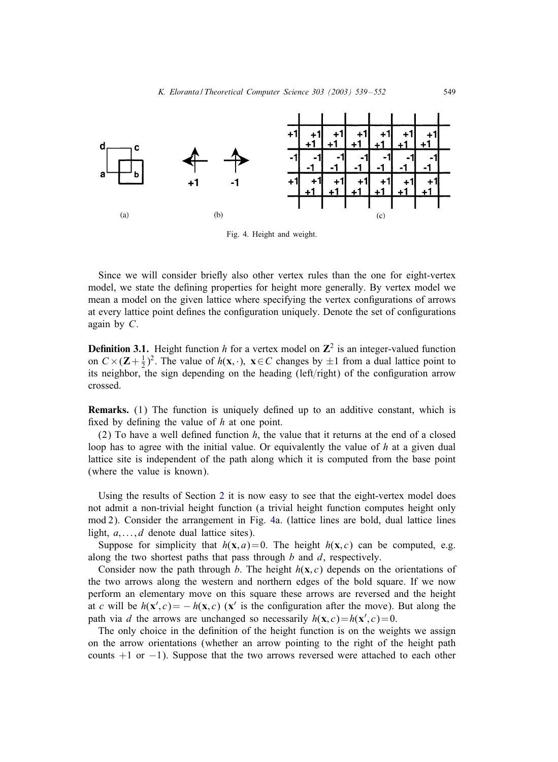<span id="page-10-0"></span>

Fig. 4. Height and weight.

Since we will consider briefly also other vertex rules than the one for eight-vertex model, we state the defining properties for height more generally. By vertex model we mean a model on the given lattice where specifying the vertex configurations of arrows at every lattice point defines the configuration uniquely. Denote the set of configurations again by C.

**Definition 3.1.** Height function h for a vertex model on  $\mathbb{Z}^2$  is an integer-valued function on  $C \times (\mathbf{Z} + \frac{1}{2})^2$ . The value of  $h(\mathbf{x}, \cdot)$ ,  $\mathbf{x} \in C$  changes by  $\pm 1$  from a dual lattice point to its neighbor, the sign depending on the heading  $(\text{left/right})$  of the configuration arrow crossed.

**Remarks.** (1) The function is uniquely defined up to an additive constant, which is fixed by defining the value of  $h$  at one point.

(2) To have a well defined function  $h$ , the value that it returns at the end of a closed loop has to agree with the initial value. Or equivalently the value of  $h$  at a given dual lattice site is independent of the path alongwhich it is computed from the base point (where the value is known).

Using the results of Section [2](#page-6-0) it is now easy to see that the eight-vertex model does not admit a non-trivial height function (a trivial height function computes height only mod 2). Consider the arrangement in Fig. 4a. (lattice lines are bold, dual lattice lines light,  $a, \ldots, d$  denote dual lattice sites).

Suppose for simplicity that  $h(x, a) = 0$ . The height  $h(x, c)$  can be computed, e.g. along the two shortest paths that pass through  $b$  and  $d$ , respectively.

Consider now the path through b. The height  $h(\mathbf{x}, c)$  depends on the orientations of the two arrows along the western and northern edges of the bold square. If we now perform an elementary move on this square these arrows are reversed and the height at c will be  $h(\mathbf{x}', c) = -h(\mathbf{x}, c)$  ( $\mathbf{x}'$  is the configuration after the move). But along the path via d the arrows are unchanged so necessarily  $h(\mathbf{x}, c) = h(\mathbf{x}', c) = 0$ .

The only choice in the definition of the height function is on the weights we assign on the arrow orientations (whether an arrow pointing to the right of the height path counts  $+1$  or  $-1$ ). Suppose that the two arrows reversed were attached to each other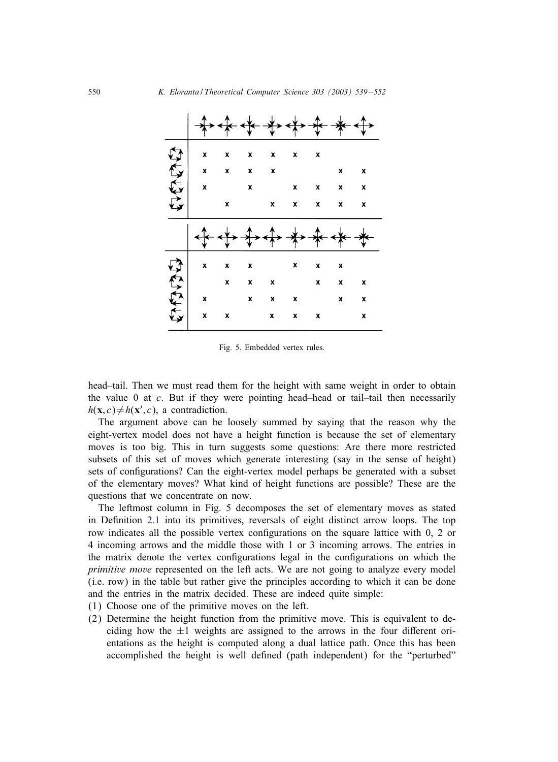<span id="page-11-0"></span>

| X                         | X                         | $\pmb{\mathsf{x}}$        | $\pmb{\mathsf{x}}$        | X                  | X                         |                    |                           |
|---------------------------|---------------------------|---------------------------|---------------------------|--------------------|---------------------------|--------------------|---------------------------|
| $\boldsymbol{\mathsf{x}}$ | $\mathbf{x}$              | $\mathbf{x}$              | $\mathbf{x}$              |                    |                           | $\pmb{\mathsf{x}}$ | $\mathbf{x}$              |
| $\pmb{\mathsf{x}}$        |                           | $\mathbf{x}$              |                           | $\pmb{\mathsf{x}}$ | $\boldsymbol{\mathsf{x}}$ | $\mathbf{x}$       | $\mathbf{x}$              |
|                           | X                         |                           | $\pmb{\mathsf{x}}$        | $\mathbf{x}$       | X                         | $\pmb{\mathsf{x}}$ | $\mathbf{x}$              |
|                           |                           |                           |                           |                    |                           |                    |                           |
|                           |                           |                           |                           |                    |                           |                    |                           |
|                           |                           |                           |                           |                    |                           |                    |                           |
| X                         | $\boldsymbol{\mathsf{x}}$ | $\boldsymbol{\mathsf{x}}$ |                           | X                  | $\pmb{\mathsf{x}}$        | $\mathbf{x}$       |                           |
|                           | $\pmb{\chi}$              | $\mathbf{x}$              | $\boldsymbol{\mathsf{x}}$ |                    | X                         | $\mathbf{x}$       | $\mathbf{x}$              |
| X                         |                           | $\boldsymbol{\mathsf{x}}$ | X                         | x                  |                           | X                  | $\boldsymbol{\mathsf{x}}$ |

Fig. 5. Embedded vertex rules.

head–tail. Then we must read them for the height with same weight in order to obtain the value  $0$  at  $c$ . But if they were pointing head–head or tail–tail then necessarily  $h(\mathbf{x}, c) \neq h(\mathbf{x}', c)$ , a contradiction.

The argument above can be loosely summed by saying that the reason why the eight-vertex model does not have a height function is because the set of elementary moves is too big. This in turn suggests some questions: Are there more restricted subsets of this set of moves which generate interesting (say in the sense of height) sets of configurations? Can the eight-vertex model perhaps be generated with a subset of the elementary moves? What kind of height functions are possible? These are the questions that we concentrate on now.

The leftmost column in Fig. 5 decomposes the set of elementary moves as stated in Definition [2.1](#page-6-0) into its primitives, reversals of eight distinct arrow loops. The top row indicates all the possible vertex configurations on the square lattice with 0, 2 or 4 incomingarrows and the middle those with 1 or 3 incomingarrows. The entries in the matrix denote the vertex configurations legal in the configurations on which the *primitive move* represented on the left acts. We are not going to analyze every model (i.e. row) in the table but rather give the principles according to which it can be done and the entries in the matrix decided. These are indeed quite simple:

- (1) Choose one of the primitive moves on the left.
- (2) Determine the height function from the primitive move. This is equivalent to deciding how the  $\pm 1$  weights are assigned to the arrows in the four different orientations as the height is computed along a dual lattice path. Once this has been accomplished the height is well defined (path independent) for the "perturbed"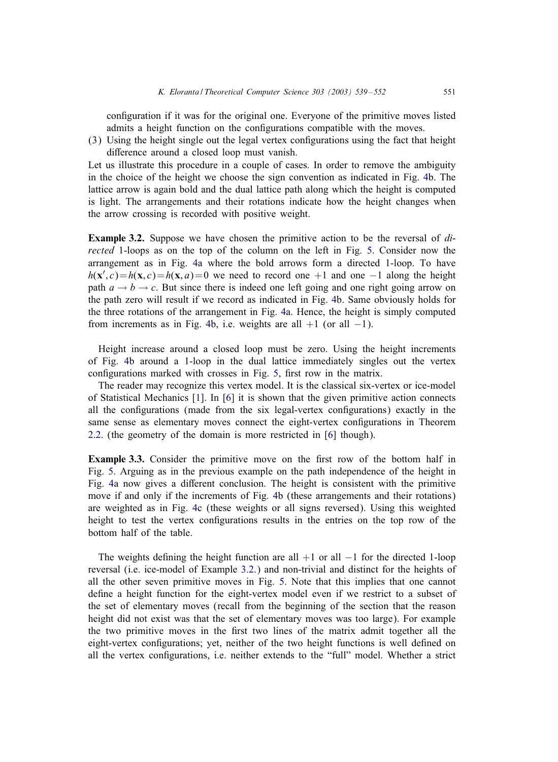configuration if it was for the original one. Everyone of the primitive moves listed admits a height function on the configurations compatible with the moves.

 $(3)$  Using the height single out the legal vertex configurations using the fact that height difference around a closed loop must vanish.

Let us illustrate this procedure in a couple of cases. In order to remove the ambiguity in the choice of the height we choose the sign convention as indicated in Fig. [4b](#page-10-0). The lattice arrow is again bold and the dual lattice path along which the height is computed is light. The arrangements and their rotations indicate how the height changes when the arrow crossing is recorded with positive weight.

Example 3.2. Suppose we have chosen the primitive action to be the reversal of *directed* 1-loops as on the top of the column on the left in Fig. [5.](#page-11-0) Consider now the arrangement as in Fig. [4a](#page-10-0) where the bold arrows form a directed 1-loop. To have  $h(\mathbf{x}', c) = h(\mathbf{x}, c) = h(\mathbf{x}, a) = 0$  we need to record one +1 and one -1 along the height path  $a \rightarrow b \rightarrow c$ . But since there is indeed one left going and one right going arrow on the path zero will result if we record as indicated in Fig. [4b](#page-10-0). Same obviously holds for the three rotations of the arrangement in Fig. [4a](#page-10-0). Hence, the height is simply computed from increments as in Fig. [4b](#page-10-0), i.e. weights are all  $+1$  (or all  $-1$ ).

Height increase around a closed loop must be zero. Using the height increments of Fig. [4b](#page-10-0) around a 1-loop in the dual lattice immediately singles out the vertex configurations marked with crosses in Fig. [5,](#page-11-0) first row in the matrix.

The reader may recognize this vertex model. It is the classical six-vertex or ice-model of Statistical Mechanics [\[1\]](#page-13-0). In [\[6\]](#page-13-0) it is shown that the given primitive action connects all the configurations (made from the six legal-vertex configurations) exactly in the same sense as elementary moves connect the eight-vertex configurations in Theorem [2.2.](#page-7-0) (the geometry of the domain is more restricted in [\[6\]](#page-13-0) though).

Example 3.3. Consider the primitive move on the first row of the bottom half in Fig. [5.](#page-11-0) Arguing as in the previous example on the path independence of the height in Fig. [4a](#page-10-0) now gives a different conclusion. The height is consistent with the primitive move if and only if the increments of Fig. [4b](#page-10-0) (these arrangements and their rotations) are weighted as in Fig. [4c](#page-10-0) (these weights or all signs reversed). Using this weighted height to test the vertex configurations results in the entries on the top row of the bottom half of the table.

The weights defining the height function are all  $+1$  or all  $-1$  for the directed 1-loop reversal (i.e. ice-model of Example 3.2.) and non-trivial and distinct for the heights of all the other seven primitive moves in Fig. [5.](#page-11-0) Note that this implies that one cannot define a height function for the eight-vertex model even if we restrict to a subset of the set of elementary moves (recall from the beginning of the section that the reason height did not exist was that the set of elementary moves was too large). For example the two primitive moves in the first two lines of the matrix admit together all the eight-vertex configurations; yet, neither of the two height functions is well defined on all the vertex configurations, i.e. neither extends to the "full" model. Whether a strict